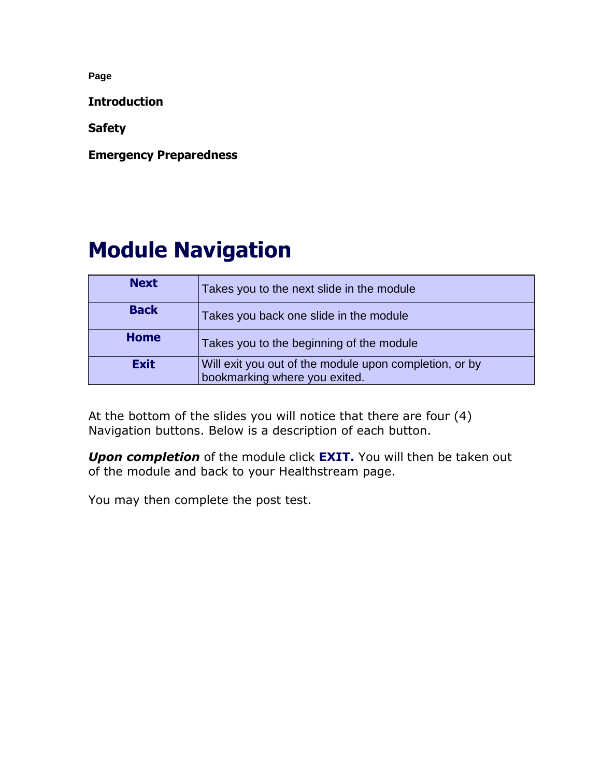**Introduction**

**Safety**

**Emergency Preparedness**

# **Module Navigation**

| <b>Next</b> | Takes you to the next slide in the module                                               |
|-------------|-----------------------------------------------------------------------------------------|
| <b>Back</b> | Takes you back one slide in the module                                                  |
| <b>Home</b> | Takes you to the beginning of the module                                                |
| <b>Exit</b> | Will exit you out of the module upon completion, or by<br>bookmarking where you exited. |

At the bottom of the slides you will notice that there are four (4) Navigation buttons. Below is a description of each button.

*Upon completion* of the module click **EXIT.** You will then be taken out of the module and back to your Healthstream page.

You may then complete the post test.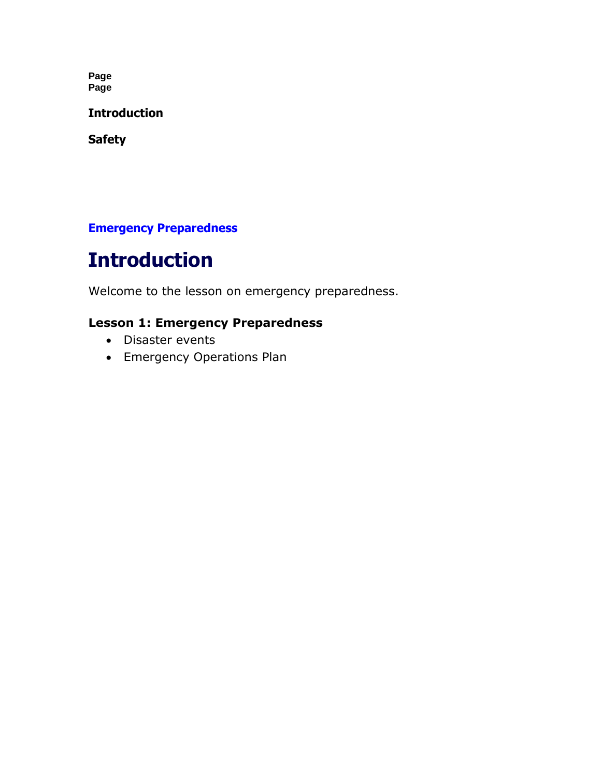**Page Page**

**Introduction**

**Safety**

#### **Emergency Preparedness**

# **Introduction**

Welcome to the lesson on emergency preparedness.

#### **Lesson 1: Emergency Preparedness**

- Disaster events
- Emergency Operations Plan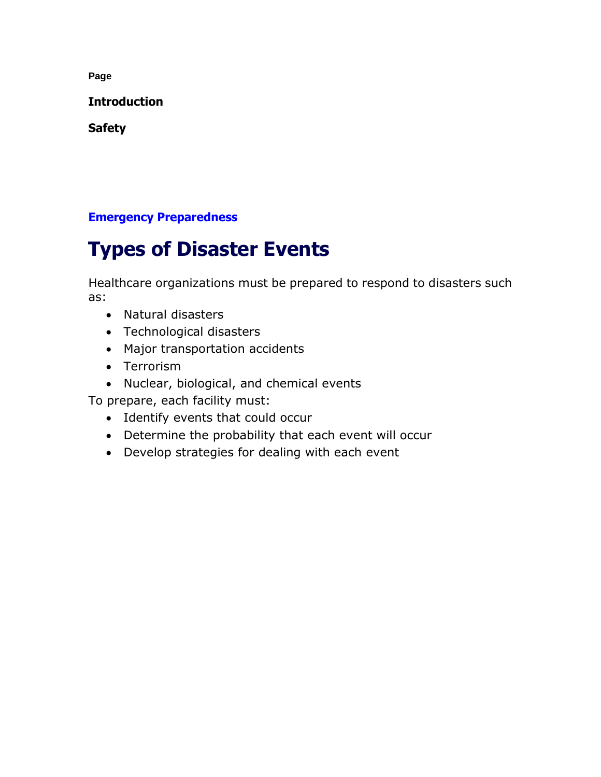**Introduction**

**Safety**

#### **Emergency Preparedness**

# **Types of Disaster Events**

Healthcare organizations must be prepared to respond to disasters such as:

- Natural disasters
- Technological disasters
- Major transportation accidents
- Terrorism
- Nuclear, biological, and chemical events

To prepare, each facility must:

- Identify events that could occur
- Determine the probability that each event will occur
- Develop strategies for dealing with each event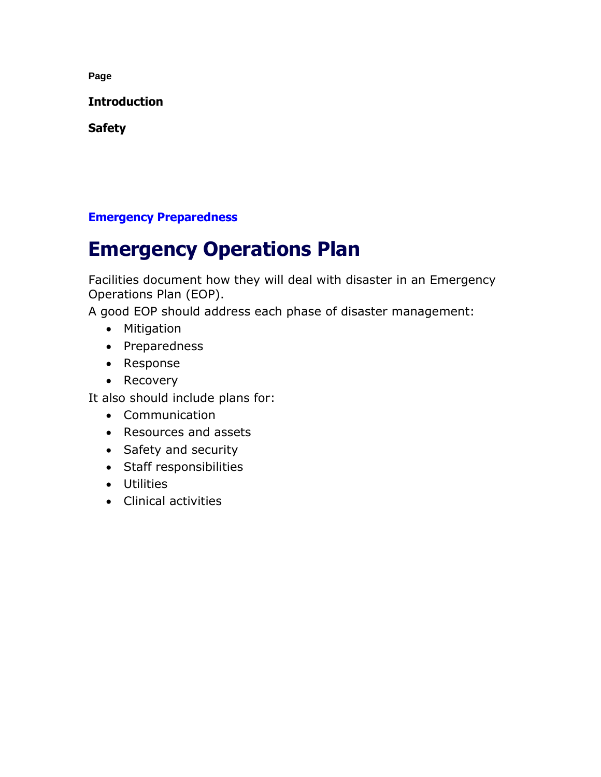**Introduction**

**Safety**

#### **Emergency Preparedness**

## **Emergency Operations Plan**

Facilities document how they will deal with disaster in an Emergency Operations Plan (EOP).

A good EOP should address each phase of disaster management:

- Mitigation
- Preparedness
- Response
- Recovery

It also should include plans for:

- Communication
- Resources and assets
- Safety and security
- Staff responsibilities
- Utilities
- Clinical activities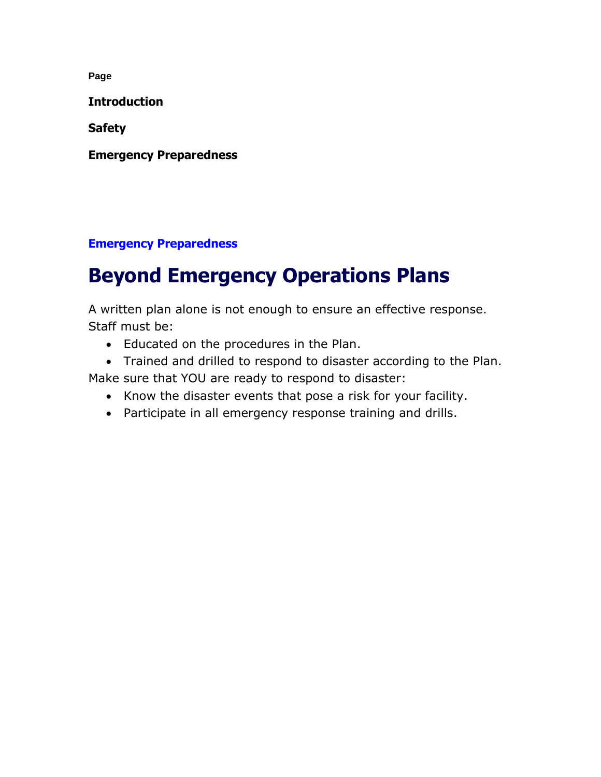**Introduction**

**Safety**

**Emergency Preparedness**

#### **Emergency Preparedness**

# **Beyond Emergency Operations Plans**

A written plan alone is not enough to ensure an effective response. Staff must be:

- Educated on the procedures in the Plan.
- Trained and drilled to respond to disaster according to the Plan.

Make sure that YOU are ready to respond to disaster:

- Know the disaster events that pose a risk for your facility.
- Participate in all emergency response training and drills.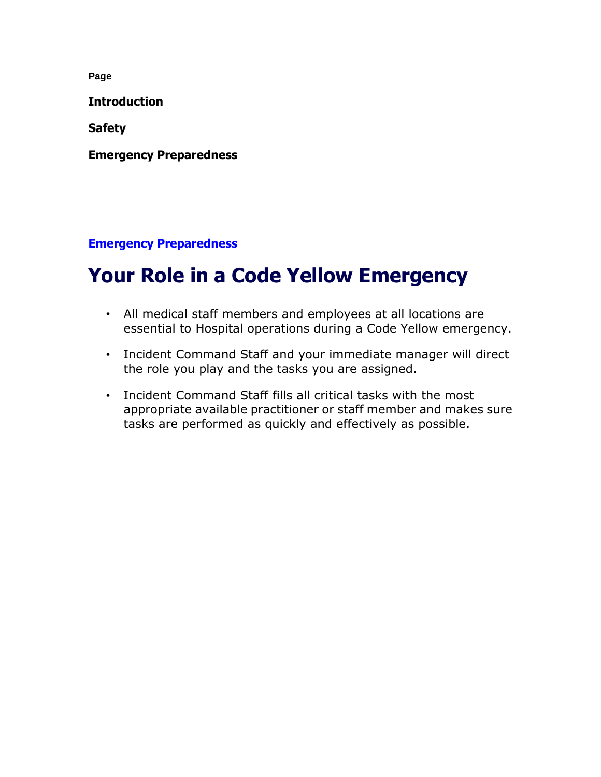**Introduction**

**Safety**

**Emergency Preparedness**

**Emergency Preparedness**

## **Your Role in a Code Yellow Emergency**

- All medical staff members and employees at all locations are essential to Hospital operations during a Code Yellow emergency.
- Incident Command Staff and your immediate manager will direct the role you play and the tasks you are assigned.
- Incident Command Staff fills all critical tasks with the most appropriate available practitioner or staff member and makes sure tasks are performed as quickly and effectively as possible.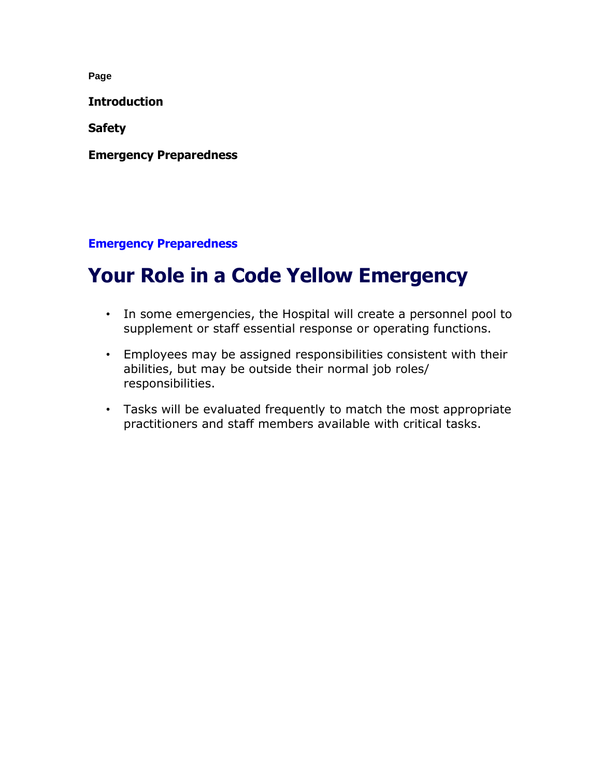**Introduction**

**Safety**

**Emergency Preparedness**

#### **Emergency Preparedness**

## **Your Role in a Code Yellow Emergency**

- In some emergencies, the Hospital will create a personnel pool to supplement or staff essential response or operating functions.
- Employees may be assigned responsibilities consistent with their abilities, but may be outside their normal job roles/ responsibilities.
- Tasks will be evaluated frequently to match the most appropriate practitioners and staff members available with critical tasks.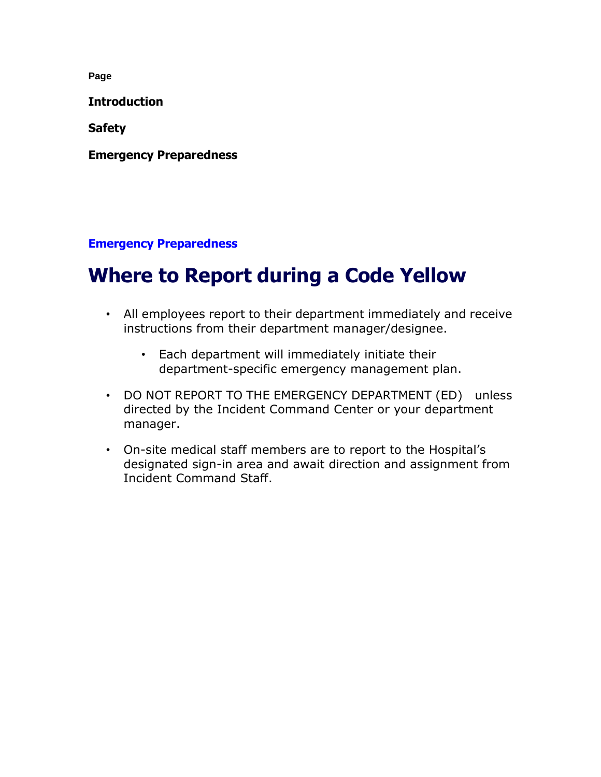**Introduction**

**Safety**

**Emergency Preparedness**

**Emergency Preparedness**

## **Where to Report during a Code Yellow**

- All employees report to their department immediately and receive instructions from their department manager/designee.
	- Each department will immediately initiate their department-specific emergency management plan.
- DO NOT REPORT TO THE EMERGENCY DEPARTMENT (ED) unless directed by the Incident Command Center or your department manager.
- On-site medical staff members are to report to the Hospital's designated sign-in area and await direction and assignment from Incident Command Staff.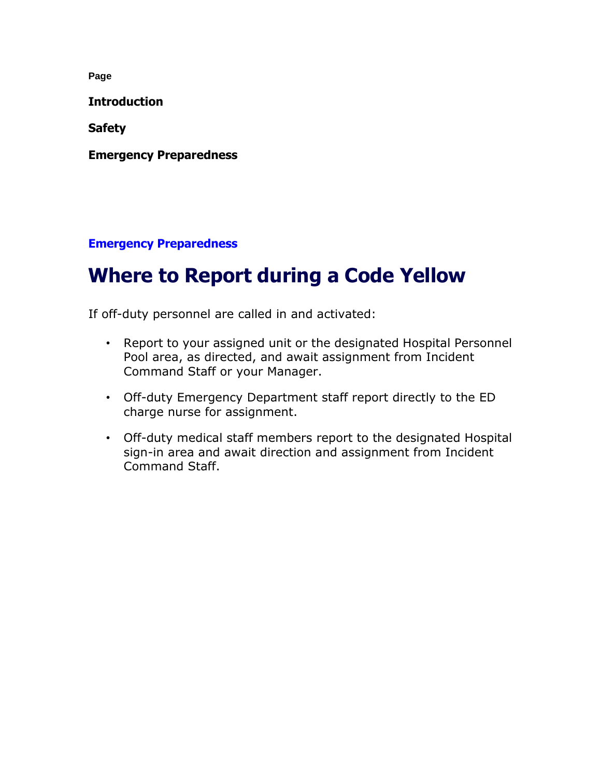**Introduction**

**Safety**

**Emergency Preparedness**

**Emergency Preparedness**

## **Where to Report during a Code Yellow**

If off-duty personnel are called in and activated:

- Report to your assigned unit or the designated Hospital Personnel Pool area, as directed, and await assignment from Incident Command Staff or your Manager.
- Off-duty Emergency Department staff report directly to the ED charge nurse for assignment.
- Off-duty medical staff members report to the designated Hospital sign-in area and await direction and assignment from Incident Command Staff.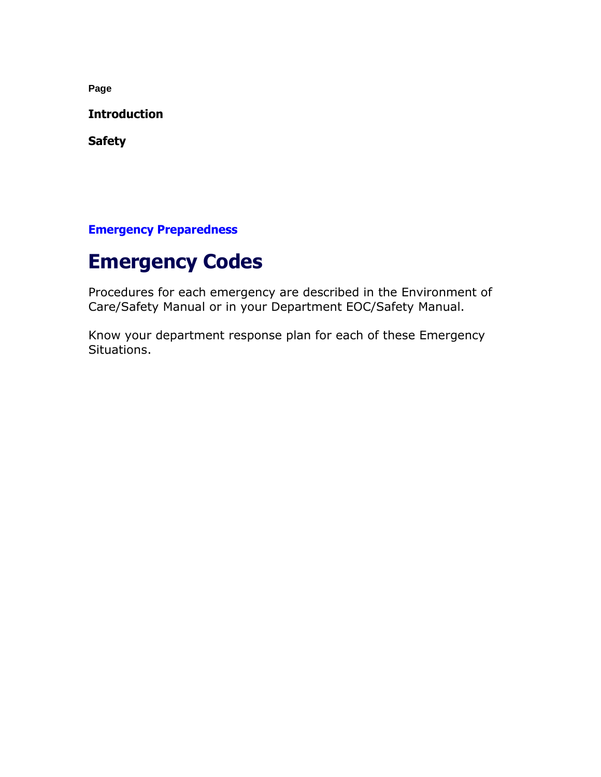**Introduction**

**Safety**

**Emergency Preparedness**

### **Emergency Codes**

Procedures for each emergency are described in the Environment of Care/Safety Manual or in your Department EOC/Safety Manual.

Know your department response plan for each of these Emergency Situations.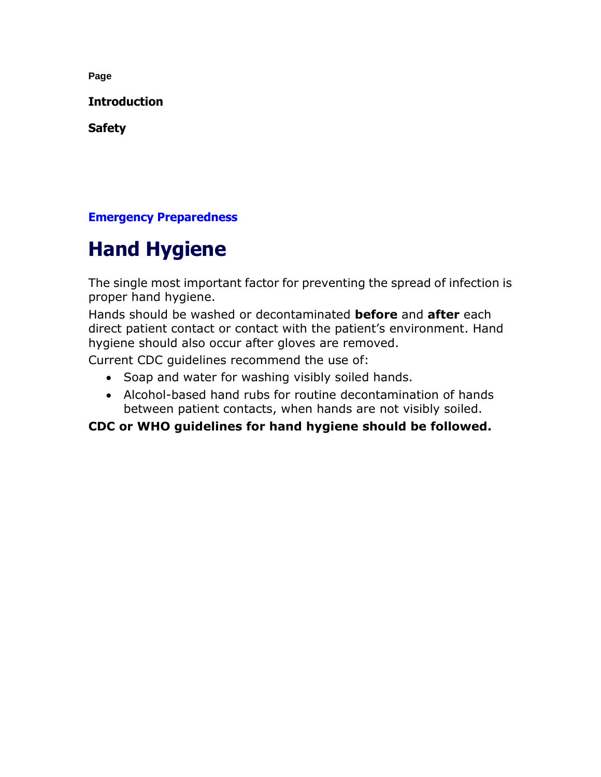**Introduction**

**Safety**

#### **Emergency Preparedness**

# **Hand Hygiene**

The single most important factor for preventing the spread of infection is proper hand hygiene.

Hands should be washed or decontaminated **before** and **after** each direct patient contact or contact with the patient's environment. Hand hygiene should also occur after gloves are removed.

Current CDC guidelines recommend the use of:

- Soap and water for washing visibly soiled hands.
- Alcohol-based hand rubs for routine decontamination of hands between patient contacts, when hands are not visibly soiled.

#### **CDC or WHO guidelines for hand hygiene should be followed.**